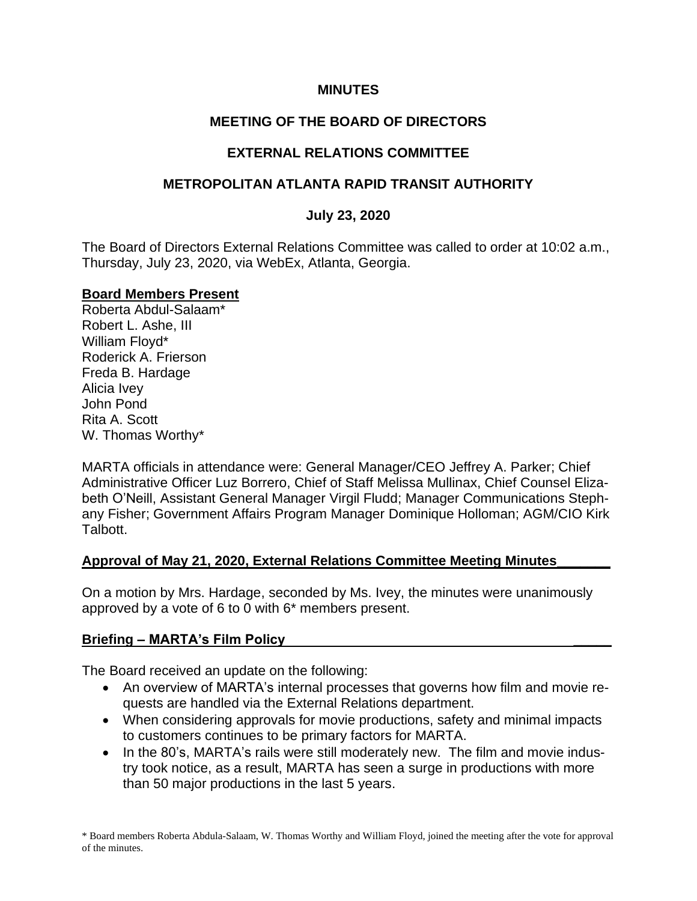#### **MINUTES**

## **MEETING OF THE BOARD OF DIRECTORS**

## **EXTERNAL RELATIONS COMMITTEE**

### **METROPOLITAN ATLANTA RAPID TRANSIT AUTHORITY**

#### **July 23, 2020**

The Board of Directors External Relations Committee was called to order at 10:02 a.m., Thursday, July 23, 2020, via WebEx, Atlanta, Georgia.

#### **Board Members Present**

Roberta Abdul-Salaam\* Robert L. Ashe, III William Floyd\* Roderick A. Frierson Freda B. Hardage Alicia Ivey John Pond Rita A. Scott W. Thomas Worthy\*

MARTA officials in attendance were: General Manager/CEO Jeffrey A. Parker; Chief Administrative Officer Luz Borrero, Chief of Staff Melissa Mullinax, Chief Counsel Elizabeth O'Neill, Assistant General Manager Virgil Fludd; Manager Communications Stephany Fisher; Government Affairs Program Manager Dominique Holloman; AGM/CIO Kirk Talbott.

### **Approval of May 21, 2020, External Relations Committee Meeting Minutes\_\_\_\_\_\_\_**

On a motion by Mrs. Hardage, seconded by Ms. Ivey, the minutes were unanimously approved by a vote of 6 to 0 with 6\* members present.

#### **Briefing – MARTA's Film Policy \_\_\_\_\_**

The Board received an update on the following:

- An overview of MARTA's internal processes that governs how film and movie requests are handled via the External Relations department.
- When considering approvals for movie productions, safety and minimal impacts to customers continues to be primary factors for MARTA.
- In the 80's, MARTA's rails were still moderately new. The film and movie industry took notice, as a result, MARTA has seen a surge in productions with more than 50 major productions in the last 5 years.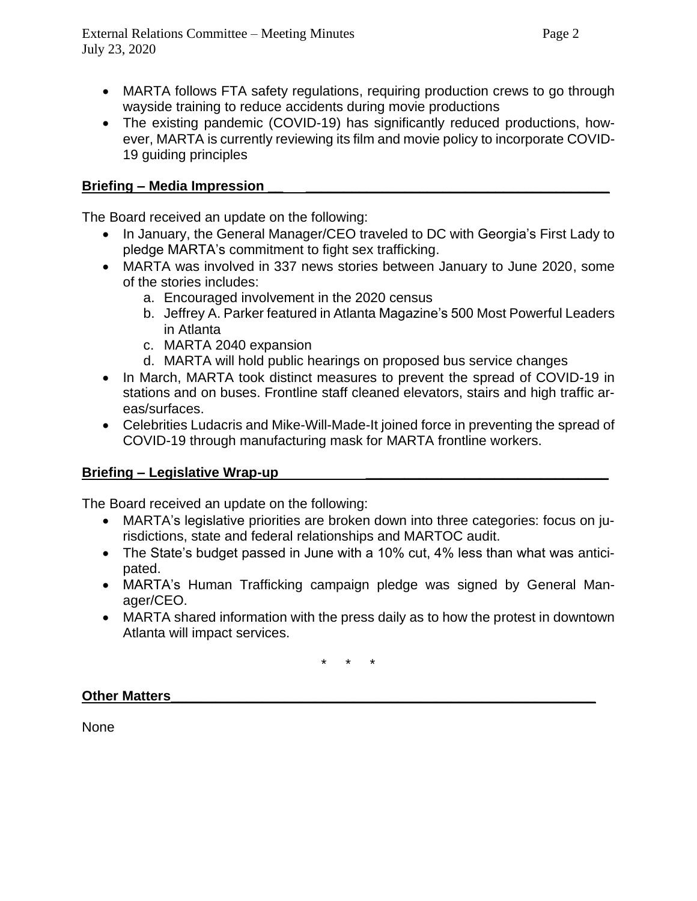- MARTA follows FTA safety regulations, requiring production crews to go through wayside training to reduce accidents during movie productions
- The existing pandemic (COVID-19) has significantly reduced productions, however, MARTA is currently reviewing its film and movie policy to incorporate COVID-19 guiding principles

## **Briefing – Media Impression \_\_ \_\_\_\_\_\_\_\_\_\_\_\_\_\_\_\_\_\_\_\_\_\_\_\_\_\_\_\_\_\_\_\_\_\_\_\_\_\_\_\_**

The Board received an update on the following:

- In January, the General Manager/CEO traveled to DC with Georgia's First Lady to pledge MARTA's commitment to fight sex trafficking.
- MARTA was involved in 337 news stories between January to June 2020, some of the stories includes:
	- a. Encouraged involvement in the 2020 census
	- b. Jeffrey A. Parker featured in Atlanta Magazine's 500 Most Powerful Leaders in Atlanta
	- c. MARTA 2040 expansion
	- d. MARTA will hold public hearings on proposed bus service changes
- In March, MARTA took distinct measures to prevent the spread of COVID-19 in stations and on buses. Frontline staff cleaned elevators, stairs and high traffic areas/surfaces.
- Celebrities Ludacris and Mike-Will-Made-It joined force in preventing the spread of COVID-19 through manufacturing mask for MARTA frontline workers.

## **Briefing – Legislative Wrap-up \_\_\_\_\_\_\_\_\_\_\_\_\_\_\_\_\_\_\_\_\_\_\_\_\_\_\_\_\_\_\_\_**

The Board received an update on the following:

- MARTA's legislative priorities are broken down into three categories: focus on jurisdictions, state and federal relationships and MARTOC audit.
- The State's budget passed in June with a 10% cut, 4% less than what was anticipated.
- MARTA's Human Trafficking campaign pledge was signed by General Manager/CEO.
- MARTA shared information with the press daily as to how the protest in downtown Atlanta will impact services.

\* \* \*

### **Other Matters**

None